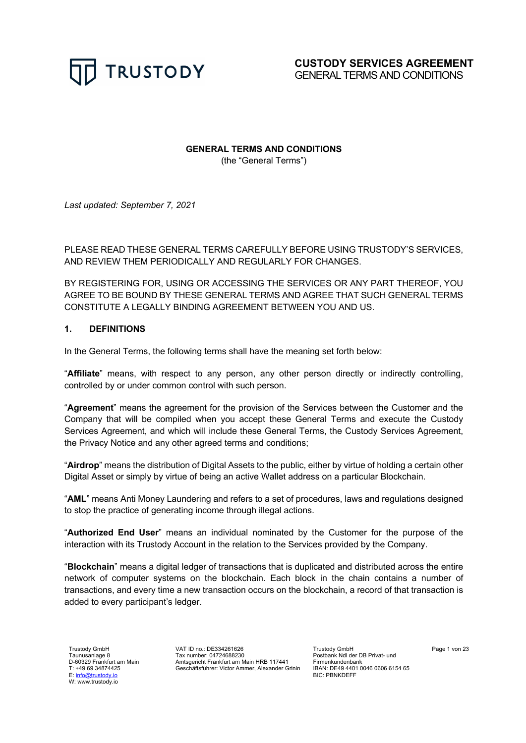

**GENERAL TERMS AND CONDITIONS**

(the "General Terms")

*Last updated: September 7, 2021*

PLEASE READ THESE GENERAL TERMS CAREFULLY BEFORE USING TRUSTODY'S SERVICES, AND REVIEW THEM PERIODICALLY AND REGULARLY FOR CHANGES.

BY REGISTERING FOR, USING OR ACCESSING THE SERVICES OR ANY PART THEREOF, YOU AGREE TO BE BOUND BY THESE GENERAL TERMS AND AGREE THAT SUCH GENERAL TERMS CONSTITUTE A LEGALLY BINDING AGREEMENT BETWEEN YOU AND US.

# **1. DEFINITIONS**

In the General Terms, the following terms shall have the meaning set forth below:

"**Affiliate**" means, with respect to any person, any other person directly or indirectly controlling, controlled by or under common control with such person.

"**Agreement**" means the agreement for the provision of the Services between the Customer and the Company that will be compiled when you accept these General Terms and execute the Custody Services Agreement, and which will include these General Terms, the Custody Services Agreement, the Privacy Notice and any other agreed terms and conditions;

"**Airdrop**" means the distribution of Digital Assets to the public, either by virtue of holding a certain other Digital Asset or simply by virtue of being an active Wallet address on a particular Blockchain.

"**AML**" means Anti Money Laundering and refers to a set of procedures, laws and regulations designed to stop the practice of generating income through illegal actions.

"**Authorized End User**" means an individual nominated by the Customer for the purpose of the interaction with its Trustody Account in the relation to the Services provided by the Company.

"**Blockchain**" means a digital ledger of transactions that is duplicated and distributed across the entire network of computer systems on the blockchain. Each block in the chain contains a number of transactions, and every time a new transaction occurs on the blockchain, a record of that transaction is added to every participant's ledger.

Trustody GmbH Taunusanlage 8 D-60329 Frankfurt am Main T: +49 69 34874425 E: info@trustody.io W: www.trustody.io

VAT ID no.: DE334261626 Tax number: 04724688230 Amtsgericht Frankfurt am Main HRB 117441 Geschäftsführer: Victor Ammer, Alexander Grinin Trustody GmbH Postbank Ndl der DB Privat- und Firmenkundenbank IBAN: DE49 4401 0046 0606 6154 65 BIC: PBNKDEFF

Page 1 von 23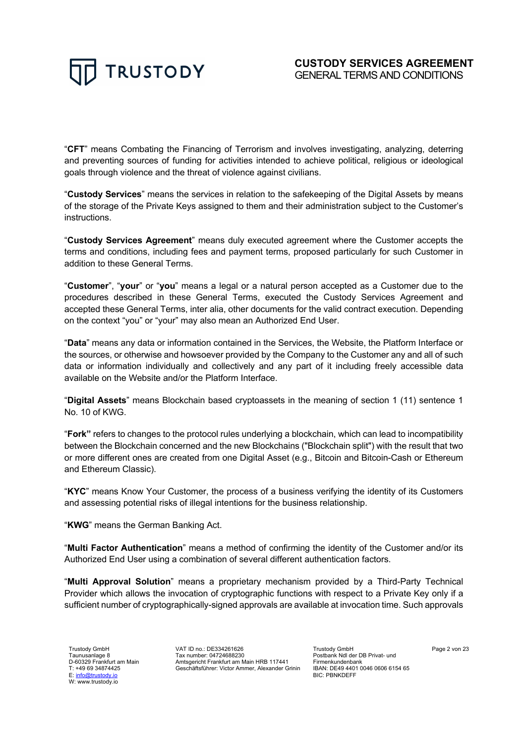

"**CFT**" means Combating the Financing of Terrorism and involves investigating, analyzing, deterring and preventing sources of funding for activities intended to achieve political, religious or ideological goals through violence and the threat of violence against civilians.

"**Custody Services**" means the services in relation to the safekeeping of the Digital Assets by means of the storage of the Private Keys assigned to them and their administration subject to the Customer's instructions.

"**Custody Services Agreement**" means duly executed agreement where the Customer accepts the terms and conditions, including fees and payment terms, proposed particularly for such Customer in addition to these General Terms.

"**Customer**", "**your**" or "**you**" means a legal or a natural person accepted as a Customer due to the procedures described in these General Terms, executed the Custody Services Agreement and accepted these General Terms, inter alia, other documents for the valid contract execution. Depending on the context "you" or "your" may also mean an Authorized End User.

"**Data**" means any data or information contained in the Services, the Website, the Platform Interface or the sources, or otherwise and howsoever provided by the Company to the Customer any and all of such data or information individually and collectively and any part of it including freely accessible data available on the Website and/or the Platform Interface.

"**Digital Assets**" means Blockchain based cryptoassets in the meaning of section 1 (11) sentence 1 No. 10 of KWG.

"**Fork"** refers to changes to the protocol rules underlying a blockchain, which can lead to incompatibility between the Blockchain concerned and the new Blockchains ("Blockchain split") with the result that two or more different ones are created from one Digital Asset (e.g., Bitcoin and Bitcoin-Cash or Ethereum and Ethereum Classic).

"**KYC**" means Know Your Customer, the process of a business verifying the identity of its Customers and assessing potential risks of illegal intentions for the business relationship.

"**KWG**" means the German Banking Act.

"**Multi Factor Authentication**" means a method of confirming the identity of the Customer and/or its Authorized End User using a combination of several different authentication factors.

"**Multi Approval Solution**" means a proprietary mechanism provided by a Third-Party Technical Provider which allows the invocation of cryptographic functions with respect to a Private Key only if a sufficient number of cryptographically-signed approvals are available at invocation time. Such approvals

Trustody GmbH Taunusanlage 8 D-60329 Frankfurt am Main T: +49 69 34874425 E: info@trustody.io W: www.trustody.io

VAT ID no.: DE334261626 Tax number: 04724688230 Amtsgericht Frankfurt am Main HRB 117441 Geschäftsführer: Victor Ammer, Alexander Grinin

Trustody GmbH Postbank Ndl der DB Privat- und Firmenkundenbank IBAN: DE49 4401 0046 0606 6154 65 BIC: PBNKDEFF

Page 2 von 23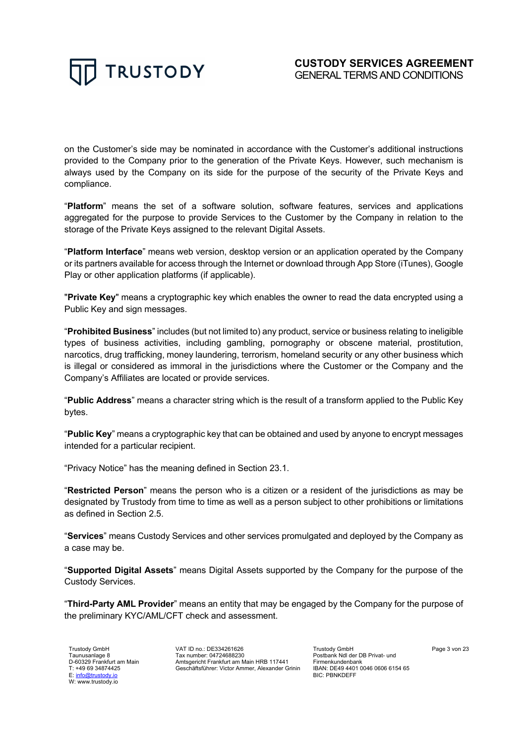

on the Customer's side may be nominated in accordance with the Customer's additional instructions provided to the Company prior to the generation of the Private Keys. However, such mechanism is always used by the Company on its side for the purpose of the security of the Private Keys and compliance.

"**Platform**" means the set of a software solution, software features, services and applications aggregated for the purpose to provide Services to the Customer by the Company in relation to the storage of the Private Keys assigned to the relevant Digital Assets.

"**Platform Interface**" means web version, desktop version or an application operated by the Company or its partners available for access through the Internet or download through App Store (iTunes), Google Play or other application platforms (if applicable).

"**Private Key**" means a cryptographic key which enables the owner to read the data encrypted using a Public Key and sign messages.

"**Prohibited Business**" includes (but not limited to) any product, service or business relating to ineligible types of business activities, including gambling, pornography or obscene material, prostitution, narcotics, drug trafficking, money laundering, terrorism, homeland security or any other business which is illegal or considered as immoral in the jurisdictions where the Customer or the Company and the Company's Affiliates are located or provide services.

"**Public Address**" means a character string which is the result of a transform applied to the Public Key bytes.

"**Public Key**" means a cryptographic key that can be obtained and used by anyone to encrypt messages intended for a particular recipient.

"Privacy Notice" has the meaning defined in Section 23.1.

"**Restricted Person**" means the person who is a citizen or a resident of the jurisdictions as may be designated by Trustody from time to time as well as a person subject to other prohibitions or limitations as defined in Section 2.5.

"**Services**" means Custody Services and other services promulgated and deployed by the Company as a case may be.

"**Supported Digital Assets**" means Digital Assets supported by the Company for the purpose of the Custody Services.

"**Third-Party AML Provider**" means an entity that may be engaged by the Company for the purpose of the preliminary KYC/AML/CFT check and assessment.

Trustody GmbH Taunusanlage 8 D-60329 Frankfurt am Main T: +49 69 34874425 E: info@trustody.io W: www.trustody.io

VAT ID no.: DE334261626 Tax number: 04724688230 Amtsgericht Frankfurt am Main HRB 117441 Geschäftsführer: Victor Ammer, Alexander Grinin Trustody GmbH Postbank Ndl der DB Privat- und Firmenkundenbank IBAN: DE49 4401 0046 0606 6154 65 BIC: PBNKDEFF

Page 3 von 23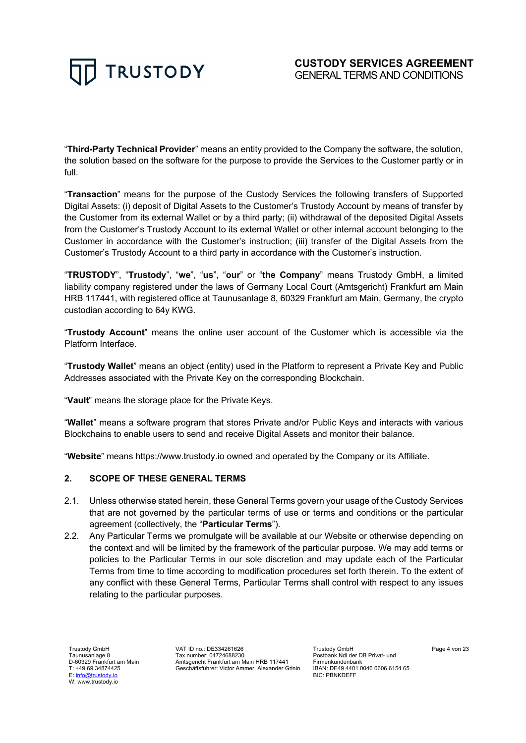"**Third-Party Technical Provider**" means an entity provided to the Company the software, the solution, the solution based on the software for the purpose to provide the Services to the Customer partly or in full.

"**Transaction**" means for the purpose of the Custody Services the following transfers of Supported Digital Assets: (i) deposit of Digital Assets to the Customer's Trustody Account by means of transfer by the Customer from its external Wallet or by a third party; (ii) withdrawal of the deposited Digital Assets from the Customer's Trustody Account to its external Wallet or other internal account belonging to the Customer in accordance with the Customer's instruction; (iii) transfer of the Digital Assets from the Customer's Trustody Account to a third party in accordance with the Customer's instruction.

"**TRUSTODY**", "**Trustody**", "**we**", "**us**", "**our**" or "**the Company**" means Trustody GmbH, a limited liability company registered under the laws of Germany Local Court (Amtsgericht) Frankfurt am Main HRB 117441, with registered office at Taunusanlage 8, 60329 Frankfurt am Main, Germany, the crypto custodian according to 64y KWG.

"**Trustody Account**" means the online user account of the Customer which is accessible via the Platform Interface.

"**Trustody Wallet**" means an object (entity) used in the Platform to represent a Private Key and Public Addresses associated with the Private Key on the corresponding Blockchain.

"**Vault**" means the storage place for the Private Keys.

"**Wallet**" means a software program that stores Private and/or Public Keys and interacts with various Blockchains to enable users to send and receive Digital Assets and monitor their balance.

"**Website**" means https://www.trustody.io owned and operated by the Company or its Affiliate.

# **2. SCOPE OF THESE GENERAL TERMS**

- 2.1. Unless otherwise stated herein, these General Terms govern your usage of the Custody Services that are not governed by the particular terms of use or terms and conditions or the particular agreement (collectively, the "**Particular Terms**").
- 2.2. Any Particular Terms we promulgate will be available at our Website or otherwise depending on the context and will be limited by the framework of the particular purpose. We may add terms or policies to the Particular Terms in our sole discretion and may update each of the Particular Terms from time to time according to modification procedures set forth therein. To the extent of any conflict with these General Terms, Particular Terms shall control with respect to any issues relating to the particular purposes.

Trustody GmbH Taunusanlage 8 D-60329 Frankfurt am Main T: +49 69 34874425 E: info@trustody.io W: www.trustody.io

VAT ID no.: DE334261626 Tax number: 04724688230 Amtsgericht Frankfurt am Main HRB 117441 Geschäftsführer: Victor Ammer, Alexander Grinin

Trustody GmbH Postbank Ndl der DB Privat- und Firmenkundenbank IBAN: DE49 4401 0046 0606 6154 65 BIC: PBNKDEFF

Page 4 von 23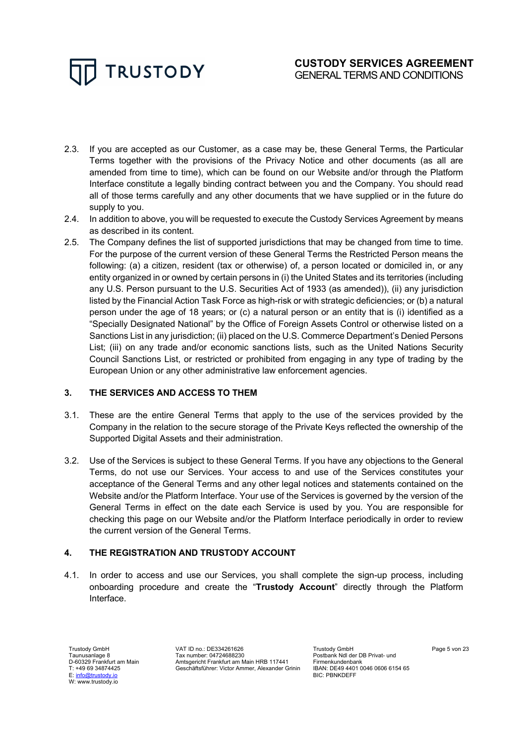- 2.3. If you are accepted as our Customer, as a case may be, these General Terms, the Particular Terms together with the provisions of the Privacy Notice and other documents (as all are amended from time to time), which can be found on our Website and/or through the Platform Interface constitute a legally binding contract between you and the Company. You should read all of those terms carefully and any other documents that we have supplied or in the future do supply to you.
- 2.4. In addition to above, you will be requested to execute the Custody Services Agreement by means as described in its content.
- 2.5. The Company defines the list of supported jurisdictions that may be changed from time to time. For the purpose of the current version of these General Terms the Restricted Person means the following: (a) a citizen, resident (tax or otherwise) of, a person located or domiciled in, or any entity organized in or owned by certain persons in (i) the United States and its territories (including any U.S. Person pursuant to the U.S. Securities Act of 1933 (as amended)), (ii) any jurisdiction listed by the Financial Action Task Force as high-risk or with strategic deficiencies; or (b) a natural person under the age of 18 years; or (c) a natural person or an entity that is (i) identified as a "Specially Designated National" by the Office of Foreign Assets Control or otherwise listed on a Sanctions List in any jurisdiction; (ii) placed on the U.S. Commerce Department's Denied Persons List; (iii) on any trade and/or economic sanctions lists, such as the United Nations Security Council Sanctions List, or restricted or prohibited from engaging in any type of trading by the European Union or any other administrative law enforcement agencies.

# **3. THE SERVICES AND ACCESS TO THEM**

- 3.1. These are the entire General Terms that apply to the use of the services provided by the Company in the relation to the secure storage of the Private Keys reflected the ownership of the Supported Digital Assets and their administration.
- 3.2. Use of the Services is subject to these General Terms. If you have any objections to the General Terms, do not use our Services. Your access to and use of the Services constitutes your acceptance of the General Terms and any other legal notices and statements contained on the Website and/or the Platform Interface. Your use of the Services is governed by the version of the General Terms in effect on the date each Service is used by you. You are responsible for checking this page on our Website and/or the Platform Interface periodically in order to review the current version of the General Terms.

# **4. THE REGISTRATION AND TRUSTODY ACCOUNT**

4.1. In order to access and use our Services, you shall complete the sign-up process, including onboarding procedure and create the "**Trustody Account**" directly through the Platform Interface.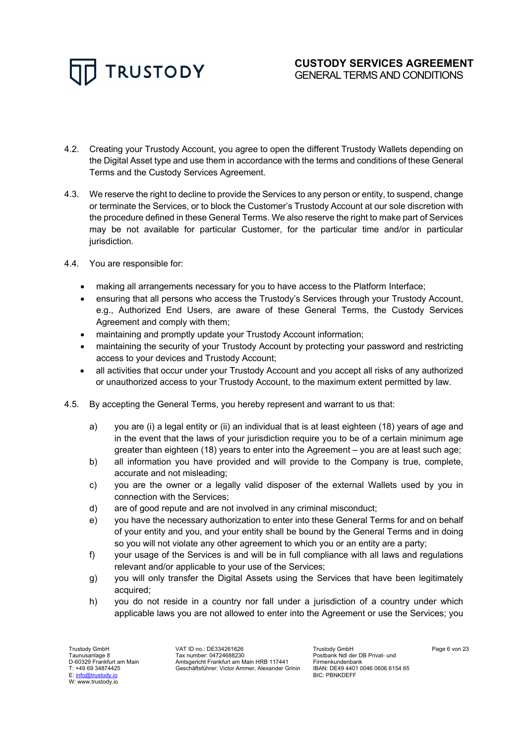

- 4.2. Creating your Trustody Account, you agree to open the different Trustody Wallets depending on the Digital Asset type and use them in accordance with the terms and conditions of these General Terms and the Custody Services Agreement.
- 4.3. We reserve the right to decline to provide the Services to any person or entity, to suspend, change or terminate the Services, or to block the Customer's Trustody Account at our sole discretion with the procedure defined in these General Terms. We also reserve the right to make part of Services may be not available for particular Customer, for the particular time and/or in particular jurisdiction.
- 4.4. You are responsible for:
	- making all arrangements necessary for you to have access to the Platform Interface;
	- ensuring that all persons who access the Trustody's Services through your Trustody Account, e.g., Authorized End Users, are aware of these General Terms, the Custody Services Agreement and comply with them;
	- maintaining and promptly update your Trustody Account information;
	- maintaining the security of your Trustody Account by protecting your password and restricting access to your devices and Trustody Account;
	- all activities that occur under your Trustody Account and you accept all risks of any authorized or unauthorized access to your Trustody Account, to the maximum extent permitted by law.
- 4.5. By accepting the General Terms, you hereby represent and warrant to us that:
	- a) you are (i) a legal entity or (ii) an individual that is at least eighteen (18) years of age and in the event that the laws of your jurisdiction require you to be of a certain minimum age greater than eighteen (18) years to enter into the Agreement – you are at least such age;
	- b) all information you have provided and will provide to the Company is true, complete, accurate and not misleading;
	- c) you are the owner or a legally valid disposer of the external Wallets used by you in connection with the Services;
	- d) are of good repute and are not involved in any criminal misconduct;
	- e) you have the necessary authorization to enter into these General Terms for and on behalf of your entity and you, and your entity shall be bound by the General Terms and in doing so you will not violate any other agreement to which you or an entity are a party;
	- f) your usage of the Services is and will be in full compliance with all laws and regulations relevant and/or applicable to your use of the Services;
	- g) you will only transfer the Digital Assets using the Services that have been legitimately acquired;
	- h) you do not reside in a country nor fall under a jurisdiction of a country under which applicable laws you are not allowed to enter into the Agreement or use the Services; you

Trustody GmbH Taunusanlage 8 D-60329 Frankfurt am Main T: +49 69 34874425 E: info@trustody.io W: www.trustody.io

VAT ID no.: DE334261626 Tax number: 04724688230 Amtsgericht Frankfurt am Main HRB 117441 Geschäftsführer: Victor Ammer, Alexander Grinin

Trustody GmbH Postbank Ndl der DB Privat- und Firmenkundenbank IBAN: DE49 4401 0046 0606 6154 65 BIC: PBNKDEFF

Page 6 von 23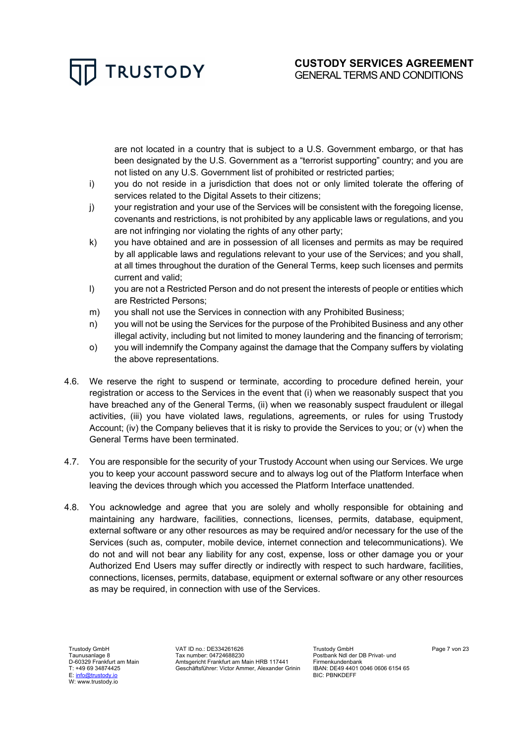are not located in a country that is subject to a U.S. Government embargo, or that has been designated by the U.S. Government as a "terrorist supporting" country; and you are not listed on any U.S. Government list of prohibited or restricted parties;

- i) you do not reside in a jurisdiction that does not or only limited tolerate the offering of services related to the Digital Assets to their citizens;
- j) your registration and your use of the Services will be consistent with the foregoing license, covenants and restrictions, is not prohibited by any applicable laws or regulations, and you are not infringing nor violating the rights of any other party;
- k) you have obtained and are in possession of all licenses and permits as may be required by all applicable laws and regulations relevant to your use of the Services; and you shall, at all times throughout the duration of the General Terms, keep such licenses and permits current and valid;
- l) you are not a Restricted Person and do not present the interests of people or entities which are Restricted Persons;
- m) you shall not use the Services in connection with any Prohibited Business;
- n) you will not be using the Services for the purpose of the Prohibited Business and any other illegal activity, including but not limited to money laundering and the financing of terrorism;
- o) you will indemnify the Company against the damage that the Company suffers by violating the above representations.
- 4.6. We reserve the right to suspend or terminate, according to procedure defined herein, your registration or access to the Services in the event that (i) when we reasonably suspect that you have breached any of the General Terms, (ii) when we reasonably suspect fraudulent or illegal activities, (iii) you have violated laws, regulations, agreements, or rules for using Trustody Account; (iv) the Company believes that it is risky to provide the Services to you; or (v) when the General Terms have been terminated.
- 4.7. You are responsible for the security of your Trustody Account when using our Services. We urge you to keep your account password secure and to always log out of the Platform Interface when leaving the devices through which you accessed the Platform Interface unattended.
- 4.8. You acknowledge and agree that you are solely and wholly responsible for obtaining and maintaining any hardware, facilities, connections, licenses, permits, database, equipment, external software or any other resources as may be required and/or necessary for the use of the Services (such as, computer, mobile device, internet connection and telecommunications). We do not and will not bear any liability for any cost, expense, loss or other damage you or your Authorized End Users may suffer directly or indirectly with respect to such hardware, facilities, connections, licenses, permits, database, equipment or external software or any other resources as may be required, in connection with use of the Services.

Trustody GmbH Taunusanlage 8 D-60329 Frankfurt am Main T: +49 69 34874425 E: info@trustody.io W: www.trustody.io

VAT ID no.: DE334261626 Tax number: 04724688230 Amtsgericht Frankfurt am Main HRB 117441 Geschäftsführer: Victor Ammer, Alexander Grinin

Trustody GmbH Postbank Ndl der DB Privat- und Firmenkundenbank IBAN: DE49 4401 0046 0606 6154 65 BIC: PBNKDEFF

Page 7 von 23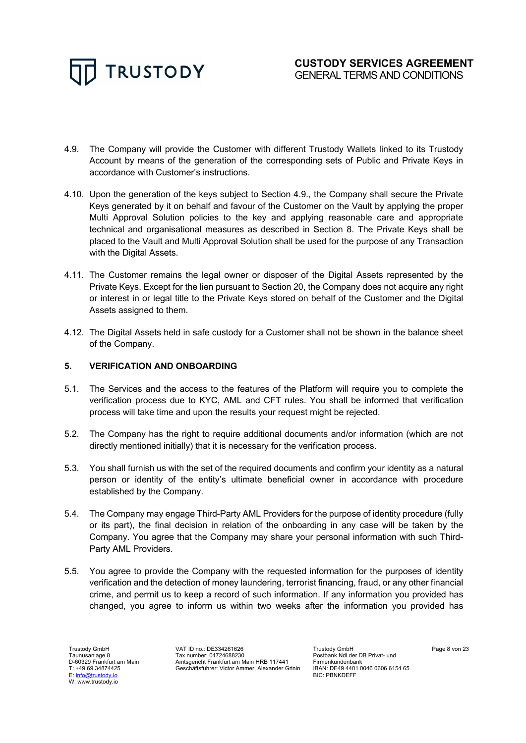

- 4.9. The Company will provide the Customer with different Trustody Wallets linked to its Trustody Account by means of the generation of the corresponding sets of Public and Private Keys in accordance with Customer's instructions.
- 4.10. Upon the generation of the keys subject to Section 4.9., the Company shall secure the Private Keys generated by it on behalf and favour of the Customer on the Vault by applying the proper Multi Approval Solution policies to the key and applying reasonable care and appropriate technical and organisational measures as described in Section 8. The Private Keys shall be placed to the Vault and Multi Approval Solution shall be used for the purpose of any Transaction with the Digital Assets.
- 4.11. The Customer remains the legal owner or disposer of the Digital Assets represented by the Private Keys. Except for the lien pursuant to Section 20, the Company does not acquire any right or interest in or legal title to the Private Keys stored on behalf of the Customer and the Digital Assets assigned to them.
- 4.12. The Digital Assets held in safe custody for a Customer shall not be shown in the balance sheet of the Company.

#### **5. VERIFICATION AND ONBOARDING**

- 5.1. The Services and the access to the features of the Platform will require you to complete the verification process due to KYC, AML and CFT rules. You shall be informed that verification process will take time and upon the results your request might be rejected.
- 5.2. The Company has the right to require additional documents and/or information (which are not directly mentioned initially) that it is necessary for the verification process.
- 5.3. You shall furnish us with the set of the required documents and confirm your identity as a natural person or identity of the entity's ultimate beneficial owner in accordance with procedure established by the Company.
- 5.4. The Company may engage Third-Party AML Providers for the purpose of identity procedure (fully or its part), the final decision in relation of the onboarding in any case will be taken by the Company. You agree that the Company may share your personal information with such Third-Party AML Providers.
- 5.5. You agree to provide the Company with the requested information for the purposes of identity verification and the detection of money laundering, terrorist financing, fraud, or any other financial crime, and permit us to keep a record of such information. If any information you provided has changed, you agree to inform us within two weeks after the information you provided has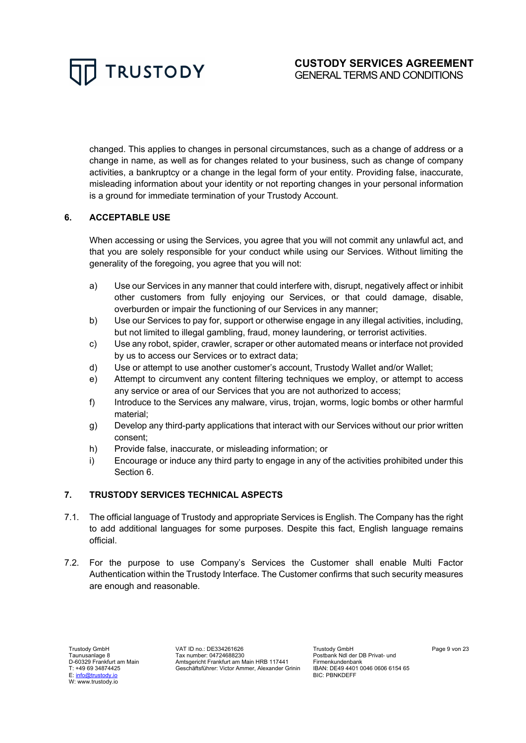changed. This applies to changes in personal circumstances, such as a change of address or a change in name, as well as for changes related to your business, such as change of company activities, a bankruptcy or a change in the legal form of your entity. Providing false, inaccurate, misleading information about your identity or not reporting changes in your personal information is a ground for immediate termination of your Trustody Account.

# **6. ACCEPTABLE USE**

When accessing or using the Services, you agree that you will not commit any unlawful act, and that you are solely responsible for your conduct while using our Services. Without limiting the generality of the foregoing, you agree that you will not:

- a) Use our Services in any manner that could interfere with, disrupt, negatively affect or inhibit other customers from fully enjoying our Services, or that could damage, disable, overburden or impair the functioning of our Services in any manner;
- b) Use our Services to pay for, support or otherwise engage in any illegal activities, including, but not limited to illegal gambling, fraud, money laundering, or terrorist activities.
- c) Use any robot, spider, crawler, scraper or other automated means or interface not provided by us to access our Services or to extract data;
- d) Use or attempt to use another customer's account, Trustody Wallet and/or Wallet;
- e) Attempt to circumvent any content filtering techniques we employ, or attempt to access any service or area of our Services that you are not authorized to access;
- f) Introduce to the Services any malware, virus, trojan, worms, logic bombs or other harmful material;
- g) Develop any third-party applications that interact with our Services without our prior written consent;
- h) Provide false, inaccurate, or misleading information; or
- i) Encourage or induce any third party to engage in any of the activities prohibited under this Section 6.

# **7. TRUSTODY SERVICES TECHNICAL ASPECTS**

- 7.1. The official language of Trustody and appropriate Services is English. The Company has the right to add additional languages for some purposes. Despite this fact, English language remains official.
- 7.2. For the purpose to use Company's Services the Customer shall enable Multi Factor Authentication within the Trustody Interface. The Customer confirms that such security measures are enough and reasonable.

Trustody GmbH Taunusanlage 8 D-60329 Frankfurt am Main T: +49 69 34874425 E: info@trustody.io W: www.trustody.io

VAT ID no.: DE334261626 Tax number: 04724688230 Amtsgericht Frankfurt am Main HRB 117441 Geschäftsführer: Victor Ammer, Alexander Grinin Trustody GmbH Postbank Ndl der DB Privat- und Firmenkundenbank IBAN: DE49 4401 0046 0606 6154 65 BIC: PBNKDEFF

Page 9 von 23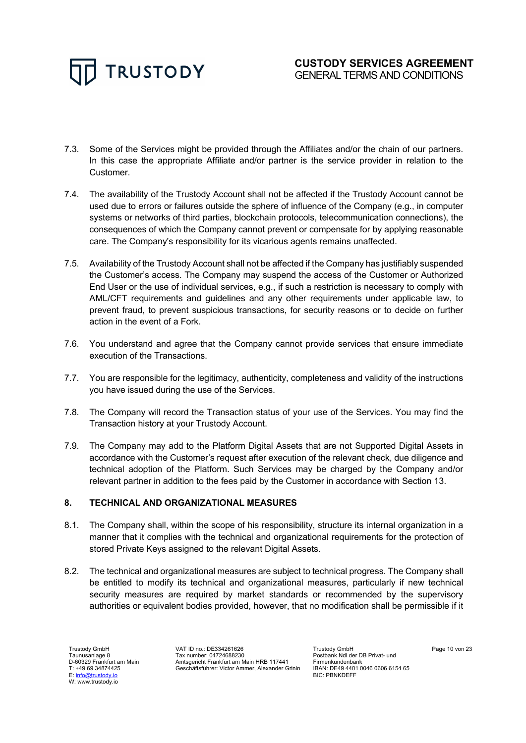

- 7.3. Some of the Services might be provided through the Affiliates and/or the chain of our partners. In this case the appropriate Affiliate and/or partner is the service provider in relation to the Customer.
- 7.4. The availability of the Trustody Account shall not be affected if the Trustody Account cannot be used due to errors or failures outside the sphere of influence of the Company (e.g., in computer systems or networks of third parties, blockchain protocols, telecommunication connections), the consequences of which the Company cannot prevent or compensate for by applying reasonable care. The Company's responsibility for its vicarious agents remains unaffected.
- 7.5. Availability of the Trustody Account shall not be affected if the Company has justifiably suspended the Customer's access. The Company may suspend the access of the Customer or Authorized End User or the use of individual services, e.g., if such a restriction is necessary to comply with AML/CFT requirements and guidelines and any other requirements under applicable law, to prevent fraud, to prevent suspicious transactions, for security reasons or to decide on further action in the event of a Fork.
- 7.6. You understand and agree that the Company cannot provide services that ensure immediate execution of the Transactions.
- 7.7. You are responsible for the legitimacy, authenticity, completeness and validity of the instructions you have issued during the use of the Services.
- 7.8. The Company will record the Transaction status of your use of the Services. You may find the Transaction history at your Trustody Account.
- 7.9. The Company may add to the Platform Digital Assets that are not Supported Digital Assets in accordance with the Customer's request after execution of the relevant check, due diligence and technical adoption of the Platform. Such Services may be charged by the Company and/or relevant partner in addition to the fees paid by the Customer in accordance with Section 13.

# **8. TECHNICAL AND ORGANIZATIONAL MEASURES**

- 8.1. The Company shall, within the scope of his responsibility, structure its internal organization in a manner that it complies with the technical and organizational requirements for the protection of stored Private Keys assigned to the relevant Digital Assets.
- 8.2. The technical and organizational measures are subject to technical progress. The Company shall be entitled to modify its technical and organizational measures, particularly if new technical security measures are required by market standards or recommended by the supervisory authorities or equivalent bodies provided, however, that no modification shall be permissible if it

VAT ID no.: DE334261626 Tax number: 04724688230 Amtsgericht Frankfurt am Main HRB 117441 Geschäftsführer: Victor Ammer, Alexander Grinin

Trustody GmbH Postbank Ndl der DB Privat- und Firmenkundenbank IBAN: DE49 4401 0046 0606 6154 65 BIC: PBNKDEFF

Page 10 von 23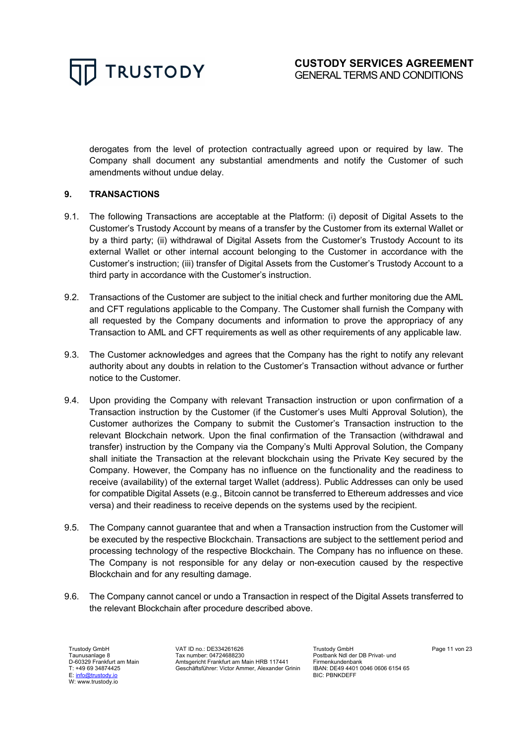

derogates from the level of protection contractually agreed upon or required by law. The Company shall document any substantial amendments and notify the Customer of such amendments without undue delay.

# **9. TRANSACTIONS**

- 9.1. The following Transactions are acceptable at the Platform: (i) deposit of Digital Assets to the Customer's Trustody Account by means of a transfer by the Customer from its external Wallet or by a third party; (ii) withdrawal of Digital Assets from the Customer's Trustody Account to its external Wallet or other internal account belonging to the Customer in accordance with the Customer's instruction; (iii) transfer of Digital Assets from the Customer's Trustody Account to a third party in accordance with the Customer's instruction.
- 9.2. Transactions of the Customer are subject to the initial check and further monitoring due the AML and CFT regulations applicable to the Company. The Customer shall furnish the Company with all requested by the Company documents and information to prove the appropriacy of any Transaction to AML and CFT requirements as well as other requirements of any applicable law.
- 9.3. The Customer acknowledges and agrees that the Company has the right to notify any relevant authority about any doubts in relation to the Customer's Transaction without advance or further notice to the Customer.
- 9.4. Upon providing the Company with relevant Transaction instruction or upon confirmation of a Transaction instruction by the Customer (if the Customer's uses Multi Approval Solution), the Customer authorizes the Company to submit the Customer's Transaction instruction to the relevant Blockchain network. Upon the final confirmation of the Transaction (withdrawal and transfer) instruction by the Company via the Company's Multi Approval Solution, the Company shall initiate the Transaction at the relevant blockchain using the Private Key secured by the Company. However, the Company has no influence on the functionality and the readiness to receive (availability) of the external target Wallet (address). Public Addresses can only be used for compatible Digital Assets (e.g., Bitcoin cannot be transferred to Ethereum addresses and vice versa) and their readiness to receive depends on the systems used by the recipient.
- 9.5. The Company cannot guarantee that and when a Transaction instruction from the Customer will be executed by the respective Blockchain. Transactions are subject to the settlement period and processing technology of the respective Blockchain. The Company has no influence on these. The Company is not responsible for any delay or non-execution caused by the respective Blockchain and for any resulting damage.
- 9.6. The Company cannot cancel or undo a Transaction in respect of the Digital Assets transferred to the relevant Blockchain after procedure described above.

Trustody GmbH Taunusanlage 8 D-60329 Frankfurt am Main T: +49 69 34874425 E: info@trustody.io W: www.trustody.io

VAT ID no.: DE334261626 Tax number: 04724688230 Amtsgericht Frankfurt am Main HRB 117441 Geschäftsführer: Victor Ammer, Alexander Grinin Trustody GmbH Postbank Ndl der DB Privat- und Firmenkundenbank IBAN: DE49 4401 0046 0606 6154 65 BIC: PBNKDEFF

Page 11 von 23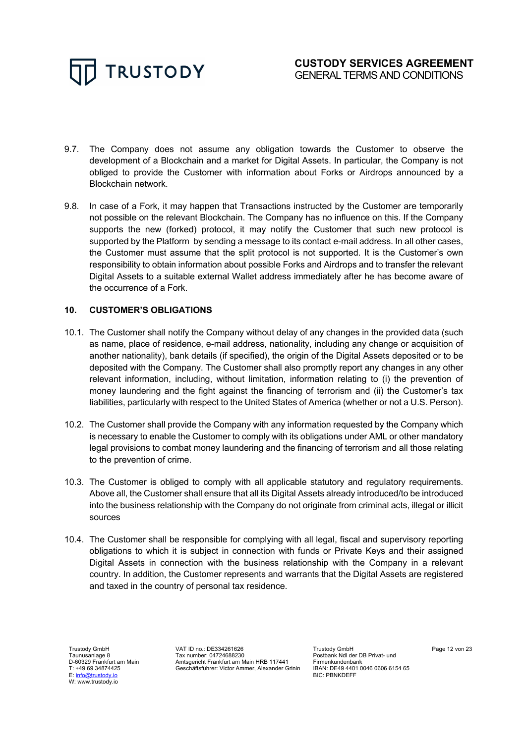

- 9.7. The Company does not assume any obligation towards the Customer to observe the development of a Blockchain and a market for Digital Assets. In particular, the Company is not obliged to provide the Customer with information about Forks or Airdrops announced by a Blockchain network.
- 9.8. In case of a Fork, it may happen that Transactions instructed by the Customer are temporarily not possible on the relevant Blockchain. The Company has no influence on this. If the Company supports the new (forked) protocol, it may notify the Customer that such new protocol is supported by the Platform by sending a message to its contact e-mail address. In all other cases, the Customer must assume that the split protocol is not supported. It is the Customer's own responsibility to obtain information about possible Forks and Airdrops and to transfer the relevant Digital Assets to a suitable external Wallet address immediately after he has become aware of the occurrence of a Fork.

# **10. CUSTOMER'S OBLIGATIONS**

- 10.1. The Customer shall notify the Company without delay of any changes in the provided data (such as name, place of residence, e-mail address, nationality, including any change or acquisition of another nationality), bank details (if specified), the origin of the Digital Assets deposited or to be deposited with the Company. The Customer shall also promptly report any changes in any other relevant information, including, without limitation, information relating to (i) the prevention of money laundering and the fight against the financing of terrorism and (ii) the Customer's tax liabilities, particularly with respect to the United States of America (whether or not a U.S. Person).
- 10.2. The Customer shall provide the Company with any information requested by the Company which is necessary to enable the Customer to comply with its obligations under AML or other mandatory legal provisions to combat money laundering and the financing of terrorism and all those relating to the prevention of crime.
- 10.3. The Customer is obliged to comply with all applicable statutory and regulatory requirements. Above all, the Customer shall ensure that all its Digital Assets already introduced/to be introduced into the business relationship with the Company do not originate from criminal acts, illegal or illicit sources
- 10.4. The Customer shall be responsible for complying with all legal, fiscal and supervisory reporting obligations to which it is subject in connection with funds or Private Keys and their assigned Digital Assets in connection with the business relationship with the Company in a relevant country. In addition, the Customer represents and warrants that the Digital Assets are registered and taxed in the country of personal tax residence.

Trustody GmbH Taunusanlage 8 D-60329 Frankfurt am Main T: +49 69 34874425 E: info@trustody.io W: www.trustody.io

VAT ID no.: DE334261626 Tax number: 04724688230 Amtsgericht Frankfurt am Main HRB 117441 Geschäftsführer: Victor Ammer, Alexander Grinin Trustody GmbH Postbank Ndl der DB Privat- und Firmenkundenbank IBAN: DE49 4401 0046 0606 6154 65 BIC: PBNKDEFF

Page 12 von 23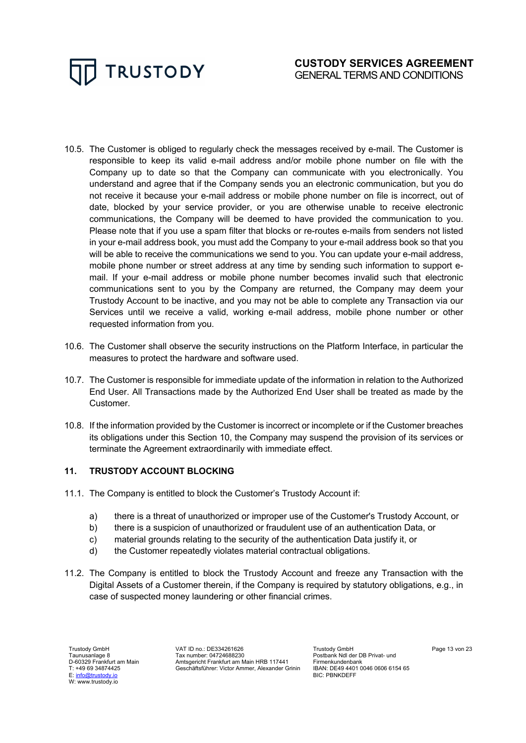

- 10.5. The Customer is obliged to regularly check the messages received by e-mail. The Customer is responsible to keep its valid e-mail address and/or mobile phone number on file with the Company up to date so that the Company can communicate with you electronically. You understand and agree that if the Company sends you an electronic communication, but you do not receive it because your e-mail address or mobile phone number on file is incorrect, out of date, blocked by your service provider, or you are otherwise unable to receive electronic communications, the Company will be deemed to have provided the communication to you. Please note that if you use a spam filter that blocks or re-routes e-mails from senders not listed in your e-mail address book, you must add the Company to your e-mail address book so that you will be able to receive the communications we send to you. You can update your e-mail address, mobile phone number or street address at any time by sending such information to support email. If your e-mail address or mobile phone number becomes invalid such that electronic communications sent to you by the Company are returned, the Company may deem your Trustody Account to be inactive, and you may not be able to complete any Transaction via our Services until we receive a valid, working e-mail address, mobile phone number or other requested information from you.
- 10.6. The Customer shall observe the security instructions on the Platform Interface, in particular the measures to protect the hardware and software used.
- 10.7. The Customer is responsible for immediate update of the information in relation to the Authorized End User. All Transactions made by the Authorized End User shall be treated as made by the Customer.
- 10.8. If the information provided by the Customer is incorrect or incomplete or if the Customer breaches its obligations under this Section 10, the Company may suspend the provision of its services or terminate the Agreement extraordinarily with immediate effect.

# **11. TRUSTODY ACCOUNT BLOCKING**

- 11.1. The Company is entitled to block the Customer's Trustody Account if:
	- a) there is a threat of unauthorized or improper use of the Customer's Trustody Account, or
	- b) there is a suspicion of unauthorized or fraudulent use of an authentication Data, or
	- c) material grounds relating to the security of the authentication Data justify it, or
	- d) the Customer repeatedly violates material contractual obligations.
- 11.2. The Company is entitled to block the Trustody Account and freeze any Transaction with the Digital Assets of a Customer therein, if the Company is required by statutory obligations, e.g., in case of suspected money laundering or other financial crimes.

Trustody GmbH Taunusanlage 8 D-60329 Frankfurt am Main T: +49 69 34874425 E: info@trustody.io W: www.trustody.io

VAT ID no.: DE334261626 Tax number: 04724688230 Amtsgericht Frankfurt am Main HRB 117441 Geschäftsführer: Victor Ammer, Alexander Grinin Trustody GmbH Postbank Ndl der DB Privat- und Firmenkundenbank IBAN: DE49 4401 0046 0606 6154 65 BIC: PBNKDEFF

Page 13 von 23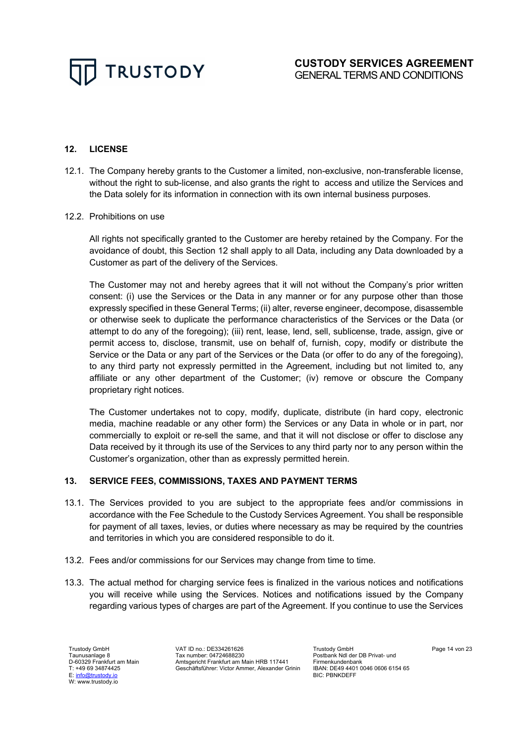# **12. LICENSE**

- 12.1. The Company hereby grants to the Customer a limited, non-exclusive, non-transferable license, without the right to sub-license, and also grants the right to access and utilize the Services and the Data solely for its information in connection with its own internal business purposes.
- 12.2. Prohibitions on use

All rights not specifically granted to the Customer are hereby retained by the Company. For the avoidance of doubt, this Section 12 shall apply to all Data, including any Data downloaded by a Customer as part of the delivery of the Services.

The Customer may not and hereby agrees that it will not without the Company's prior written consent: (i) use the Services or the Data in any manner or for any purpose other than those expressly specified in these General Terms; (ii) alter, reverse engineer, decompose, disassemble or otherwise seek to duplicate the performance characteristics of the Services or the Data (or attempt to do any of the foregoing); (iii) rent, lease, lend, sell, sublicense, trade, assign, give or permit access to, disclose, transmit, use on behalf of, furnish, copy, modify or distribute the Service or the Data or any part of the Services or the Data (or offer to do any of the foregoing), to any third party not expressly permitted in the Agreement, including but not limited to, any affiliate or any other department of the Customer; (iv) remove or obscure the Company proprietary right notices.

The Customer undertakes not to copy, modify, duplicate, distribute (in hard copy, electronic media, machine readable or any other form) the Services or any Data in whole or in part, nor commercially to exploit or re-sell the same, and that it will not disclose or offer to disclose any Data received by it through its use of the Services to any third party nor to any person within the Customer's organization, other than as expressly permitted herein.

# **13. SERVICE FEES, COMMISSIONS, TAXES AND PAYMENT TERMS**

- 13.1. The Services provided to you are subject to the appropriate fees and/or commissions in accordance with the Fee Schedule to the Custody Services Agreement. You shall be responsible for payment of all taxes, levies, or duties where necessary as may be required by the countries and territories in which you are considered responsible to do it.
- 13.2. Fees and/or commissions for our Services may change from time to time.
- 13.3. The actual method for charging service fees is finalized in the various notices and notifications you will receive while using the Services. Notices and notifications issued by the Company regarding various types of charges are part of the Agreement. If you continue to use the Services

VAT ID no.: DE334261626 Tax number: 04724688230 Amtsgericht Frankfurt am Main HRB 117441 Geschäftsführer: Victor Ammer, Alexander Grinin

Trustody GmbH Postbank Ndl der DB Privat- und Firmenkundenbank IBAN: DE49 4401 0046 0606 6154 65 BIC: PBNKDEFF

Page 14 von 23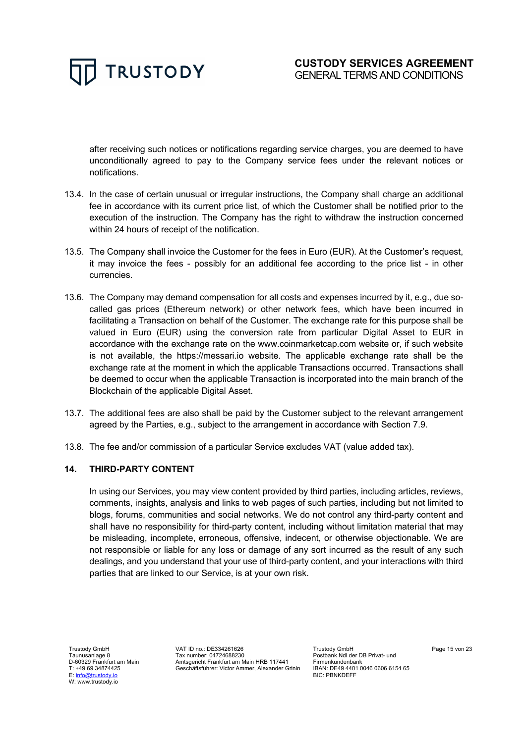

after receiving such notices or notifications regarding service charges, you are deemed to have unconditionally agreed to pay to the Company service fees under the relevant notices or notifications.

- 13.4. In the case of certain unusual or irregular instructions, the Company shall charge an additional fee in accordance with its current price list, of which the Customer shall be notified prior to the execution of the instruction. The Company has the right to withdraw the instruction concerned within 24 hours of receipt of the notification.
- 13.5. The Company shall invoice the Customer for the fees in Euro (EUR). At the Customer's request, it may invoice the fees - possibly for an additional fee according to the price list - in other currencies.
- 13.6. The Company may demand compensation for all costs and expenses incurred by it, e.g., due socalled gas prices (Ethereum network) or other network fees, which have been incurred in facilitating a Transaction on behalf of the Customer. The exchange rate for this purpose shall be valued in Euro (EUR) using the conversion rate from particular Digital Asset to EUR in accordance with the exchange rate on the www.coinmarketcap.com website or, if such website is not available, the https://messari.io website. The applicable exchange rate shall be the exchange rate at the moment in which the applicable Transactions occurred. Transactions shall be deemed to occur when the applicable Transaction is incorporated into the main branch of the Blockchain of the applicable Digital Asset.
- 13.7. The additional fees are also shall be paid by the Customer subject to the relevant arrangement agreed by the Parties, e.g., subject to the arrangement in accordance with Section 7.9.
- 13.8. The fee and/or commission of a particular Service excludes VAT (value added tax).

# **14. THIRD-PARTY CONTENT**

In using our Services, you may view content provided by third parties, including articles, reviews, comments, insights, analysis and links to web pages of such parties, including but not limited to blogs, forums, communities and social networks. We do not control any third-party content and shall have no responsibility for third-party content, including without limitation material that may be misleading, incomplete, erroneous, offensive, indecent, or otherwise objectionable. We are not responsible or liable for any loss or damage of any sort incurred as the result of any such dealings, and you understand that your use of third-party content, and your interactions with third parties that are linked to our Service, is at your own risk.

Trustody GmbH Taunusanlage 8 D-60329 Frankfurt am Main T: +49 69 34874425 E: info@trustody.io W: www.trustody.io

VAT ID no.: DE334261626 Tax number: 04724688230 Amtsgericht Frankfurt am Main HRB 117441 Geschäftsführer: Victor Ammer, Alexander Grinin

Trustody GmbH Postbank Ndl der DB Privat- und Firmenkundenbank IBAN: DE49 4401 0046 0606 6154 65 BIC: PBNKDEFF

Page 15 von 23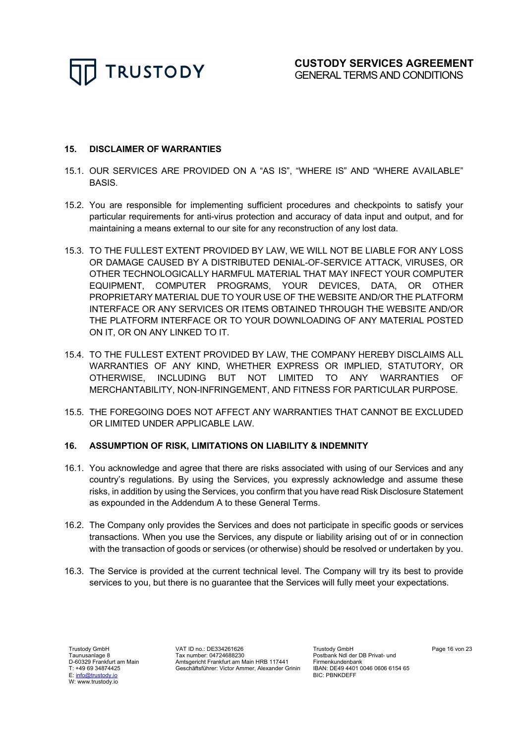

# **15. DISCLAIMER OF WARRANTIES**

- 15.1. OUR SERVICES ARE PROVIDED ON A "AS IS", "WHERE IS" AND "WHERE AVAILABLE" BASIS.
- 15.2. You are responsible for implementing sufficient procedures and checkpoints to satisfy your particular requirements for anti-virus protection and accuracy of data input and output, and for maintaining a means external to our site for any reconstruction of any lost data.
- 15.3. TO THE FULLEST EXTENT PROVIDED BY LAW, WE WILL NOT BE LIABLE FOR ANY LOSS OR DAMAGE CAUSED BY A DISTRIBUTED DENIAL-OF-SERVICE ATTACK, VIRUSES, OR OTHER TECHNOLOGICALLY HARMFUL MATERIAL THAT MAY INFECT YOUR COMPUTER EQUIPMENT, COMPUTER PROGRAMS, YOUR DEVICES, DATA, OR OTHER PROPRIETARY MATERIAL DUE TO YOUR USE OF THE WEBSITE AND/OR THE PLATFORM INTERFACE OR ANY SERVICES OR ITEMS OBTAINED THROUGH THE WEBSITE AND/OR THE PLATFORM INTERFACE OR TO YOUR DOWNLOADING OF ANY MATERIAL POSTED ON IT, OR ON ANY LINKED TO IT.
- 15.4. TO THE FULLEST EXTENT PROVIDED BY LAW, THE COMPANY HEREBY DISCLAIMS ALL WARRANTIES OF ANY KIND, WHETHER EXPRESS OR IMPLIED, STATUTORY, OR OTHERWISE, INCLUDING BUT NOT LIMITED TO ANY WARRANTIES OF MERCHANTABILITY, NON-INFRINGEMENT, AND FITNESS FOR PARTICULAR PURPOSE.
- 15.5. THE FOREGOING DOES NOT AFFECT ANY WARRANTIES THAT CANNOT BE EXCLUDED OR LIMITED UNDER APPLICABLE LAW.

#### **16. ASSUMPTION OF RISK, LIMITATIONS ON LIABILITY & INDEMNITY**

- 16.1. You acknowledge and agree that there are risks associated with using of our Services and any country's regulations. By using the Services, you expressly acknowledge and assume these risks, in addition by using the Services, you confirm that you have read Risk Disclosure Statement as expounded in the Addendum A to these General Terms.
- 16.2. The Company only provides the Services and does not participate in specific goods or services transactions. When you use the Services, any dispute or liability arising out of or in connection with the transaction of goods or services (or otherwise) should be resolved or undertaken by you.
- 16.3. The Service is provided at the current technical level. The Company will try its best to provide services to you, but there is no guarantee that the Services will fully meet your expectations.

Trustody GmbH Taunusanlage 8 D-60329 Frankfurt am Main T: +49 69 34874425 E: info@trustody.io W: www.trustody.io

VAT ID no.: DE334261626 Tax number: 04724688230 Amtsgericht Frankfurt am Main HRB 117441 Geschäftsführer: Victor Ammer, Alexander Grinin

Trustody GmbH Postbank Ndl der DB Privat- und Firmenkundenbank IBAN: DE49 4401 0046 0606 6154 65 BIC: PBNKDEFF

Page 16 von 23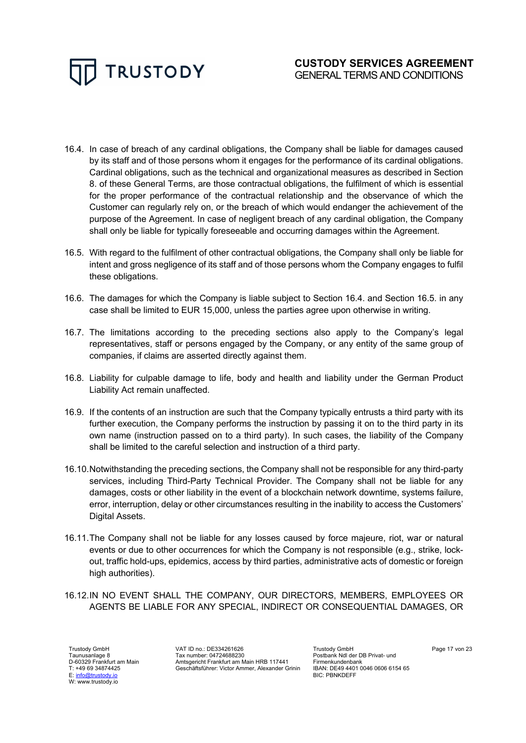

- 16.4. In case of breach of any cardinal obligations, the Company shall be liable for damages caused by its staff and of those persons whom it engages for the performance of its cardinal obligations. Cardinal obligations, such as the technical and organizational measures as described in Section 8. of these General Terms, are those contractual obligations, the fulfilment of which is essential for the proper performance of the contractual relationship and the observance of which the Customer can regularly rely on, or the breach of which would endanger the achievement of the purpose of the Agreement. In case of negligent breach of any cardinal obligation, the Company shall only be liable for typically foreseeable and occurring damages within the Agreement.
- 16.5. With regard to the fulfilment of other contractual obligations, the Company shall only be liable for intent and gross negligence of its staff and of those persons whom the Company engages to fulfil these obligations.
- 16.6. The damages for which the Company is liable subject to Section 16.4. and Section 16.5. in any case shall be limited to EUR 15,000, unless the parties agree upon otherwise in writing.
- 16.7. The limitations according to the preceding sections also apply to the Company's legal representatives, staff or persons engaged by the Company, or any entity of the same group of companies, if claims are asserted directly against them.
- 16.8. Liability for culpable damage to life, body and health and liability under the German Product Liability Act remain unaffected.
- 16.9. If the contents of an instruction are such that the Company typically entrusts a third party with its further execution, the Company performs the instruction by passing it on to the third party in its own name (instruction passed on to a third party). In such cases, the liability of the Company shall be limited to the careful selection and instruction of a third party.
- 16.10.Notwithstanding the preceding sections, the Company shall not be responsible for any third-party services, including Third-Party Technical Provider. The Company shall not be liable for any damages, costs or other liability in the event of a blockchain network downtime, systems failure, error, interruption, delay or other circumstances resulting in the inability to access the Customers' Digital Assets.
- 16.11.The Company shall not be liable for any losses caused by force majeure, riot, war or natural events or due to other occurrences for which the Company is not responsible (e.g., strike, lockout, traffic hold-ups, epidemics, access by third parties, administrative acts of domestic or foreign high authorities).
- 16.12.IN NO EVENT SHALL THE COMPANY, OUR DIRECTORS, MEMBERS, EMPLOYEES OR AGENTS BE LIABLE FOR ANY SPECIAL, INDIRECT OR CONSEQUENTIAL DAMAGES, OR

Trustody GmbH Taunusanlage 8 D-60329 Frankfurt am Main T: +49 69 34874425 E: info@trustody.io W: www.trustody.io

VAT ID no.: DE334261626 Tax number: 04724688230 Amtsgericht Frankfurt am Main HRB 117441 Geschäftsführer: Victor Ammer, Alexander Grinin Trustody GmbH Postbank Ndl der DB Privat- und Firmenkundenbank IBAN: DE49 4401 0046 0606 6154 65 BIC: PBNKDEFF

Page 17 von 23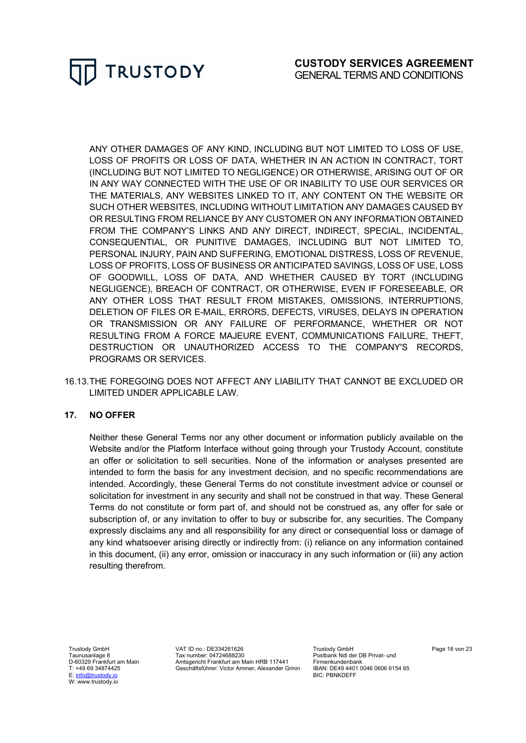

ANY OTHER DAMAGES OF ANY KIND, INCLUDING BUT NOT LIMITED TO LOSS OF USE, LOSS OF PROFITS OR LOSS OF DATA, WHETHER IN AN ACTION IN CONTRACT, TORT (INCLUDING BUT NOT LIMITED TO NEGLIGENCE) OR OTHERWISE, ARISING OUT OF OR IN ANY WAY CONNECTED WITH THE USE OF OR INABILITY TO USE OUR SERVICES OR THE MATERIALS, ANY WEBSITES LINKED TO IT, ANY CONTENT ON THE WEBSITE OR SUCH OTHER WEBSITES, INCLUDING WITHOUT LIMITATION ANY DAMAGES CAUSED BY OR RESULTING FROM RELIANCE BY ANY CUSTOMER ON ANY INFORMATION OBTAINED FROM THE COMPANY'S LINKS AND ANY DIRECT, INDIRECT, SPECIAL, INCIDENTAL, CONSEQUENTIAL, OR PUNITIVE DAMAGES, INCLUDING BUT NOT LIMITED TO, PERSONAL INJURY, PAIN AND SUFFERING, EMOTIONAL DISTRESS, LOSS OF REVENUE, LOSS OF PROFITS, LOSS OF BUSINESS OR ANTICIPATED SAVINGS, LOSS OF USE, LOSS OF GOODWILL, LOSS OF DATA, AND WHETHER CAUSED BY TORT (INCLUDING NEGLIGENCE), BREACH OF CONTRACT, OR OTHERWISE, EVEN IF FORESEEABLE, OR ANY OTHER LOSS THAT RESULT FROM MISTAKES, OMISSIONS, INTERRUPTIONS, DELETION OF FILES OR E-MAIL, ERRORS, DEFECTS, VIRUSES, DELAYS IN OPERATION OR TRANSMISSION OR ANY FAILURE OF PERFORMANCE, WHETHER OR NOT RESULTING FROM A FORCE MAJEURE EVENT, COMMUNICATIONS FAILURE, THEFT, DESTRUCTION OR UNAUTHORIZED ACCESS TO THE COMPANY'S RECORDS, PROGRAMS OR SERVICES.

16.13.THE FOREGOING DOES NOT AFFECT ANY LIABILITY THAT CANNOT BE EXCLUDED OR LIMITED UNDER APPLICABLE LAW.

# **17. NO OFFER**

Neither these General Terms nor any other document or information publicly available on the Website and/or the Platform Interface without going through your Trustody Account, constitute an offer or solicitation to sell securities. None of the information or analyses presented are intended to form the basis for any investment decision, and no specific recommendations are intended. Accordingly, these General Terms do not constitute investment advice or counsel or solicitation for investment in any security and shall not be construed in that way. These General Terms do not constitute or form part of, and should not be construed as, any offer for sale or subscription of, or any invitation to offer to buy or subscribe for, any securities. The Company expressly disclaims any and all responsibility for any direct or consequential loss or damage of any kind whatsoever arising directly or indirectly from: (i) reliance on any information contained in this document, (ii) any error, omission or inaccuracy in any such information or (iii) any action resulting therefrom.

Trustody GmbH Taunusanlage 8 D-60329 Frankfurt am Main T: +49 69 34874425 E: info@trustody.io W: www.trustody.io

VAT ID no.: DE334261626 Tax number: 04724688230 Amtsgericht Frankfurt am Main HRB 117441 Geschäftsführer: Victor Ammer, Alexander Grinin

Trustody GmbH Postbank Ndl der DB Privat- und Firmenkundenbank IBAN: DE49 4401 0046 0606 6154 65 BIC: PBNKDEFF

Page 18 von 23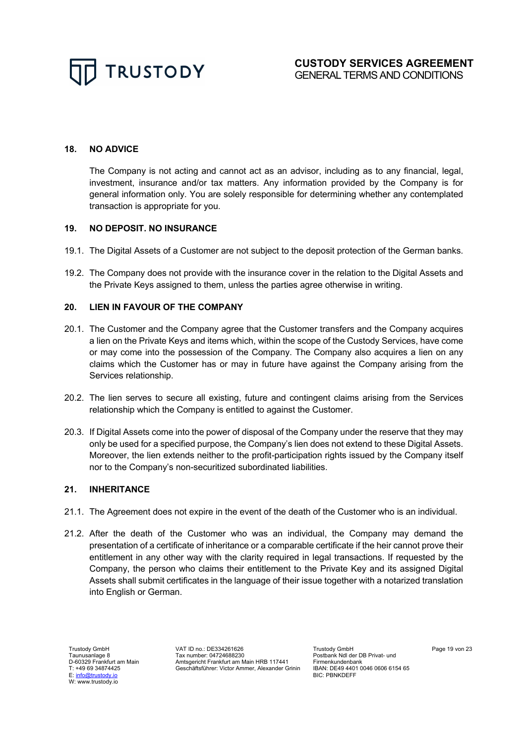

#### **18. NO ADVICE**

The Company is not acting and cannot act as an advisor, including as to any financial, legal, investment, insurance and/or tax matters. Any information provided by the Company is for general information only. You are solely responsible for determining whether any contemplated transaction is appropriate for you.

# **19. NO DEPOSIT. NO INSURANCE**

- 19.1. The Digital Assets of a Customer are not subject to the deposit protection of the German banks.
- 19.2. The Company does not provide with the insurance cover in the relation to the Digital Assets and the Private Keys assigned to them, unless the parties agree otherwise in writing.

#### **20. LIEN IN FAVOUR OF THE COMPANY**

- 20.1. The Customer and the Company agree that the Customer transfers and the Company acquires a lien on the Private Keys and items which, within the scope of the Custody Services, have come or may come into the possession of the Company. The Company also acquires a lien on any claims which the Customer has or may in future have against the Company arising from the Services relationship.
- 20.2. The lien serves to secure all existing, future and contingent claims arising from the Services relationship which the Company is entitled to against the Customer.
- 20.3. If Digital Assets come into the power of disposal of the Company under the reserve that they may only be used for a specified purpose, the Company's lien does not extend to these Digital Assets. Moreover, the lien extends neither to the profit-participation rights issued by the Company itself nor to the Company's non-securitized subordinated liabilities.

# **21. INHERITANCE**

- 21.1. The Agreement does not expire in the event of the death of the Customer who is an individual.
- 21.2. After the death of the Customer who was an individual, the Company may demand the presentation of a certificate of inheritance or a comparable certificate if the heir cannot prove their entitlement in any other way with the clarity required in legal transactions. If requested by the Company, the person who claims their entitlement to the Private Key and its assigned Digital Assets shall submit certificates in the language of their issue together with a notarized translation into English or German.

Trustody GmbH Taunusanlage 8 D-60329 Frankfurt am Main T: +49 69 34874425 E: info@trustody.io W: www.trustody.io

VAT ID no.: DE334261626 Tax number: 04724688230 Amtsgericht Frankfurt am Main HRB 117441 Geschäftsführer: Victor Ammer, Alexander Grinin

Trustody GmbH Postbank Ndl der DB Privat- und Firmenkundenbank IBAN: DE49 4401 0046 0606 6154 65 BIC: PBNKDEFF

Page 19 von 23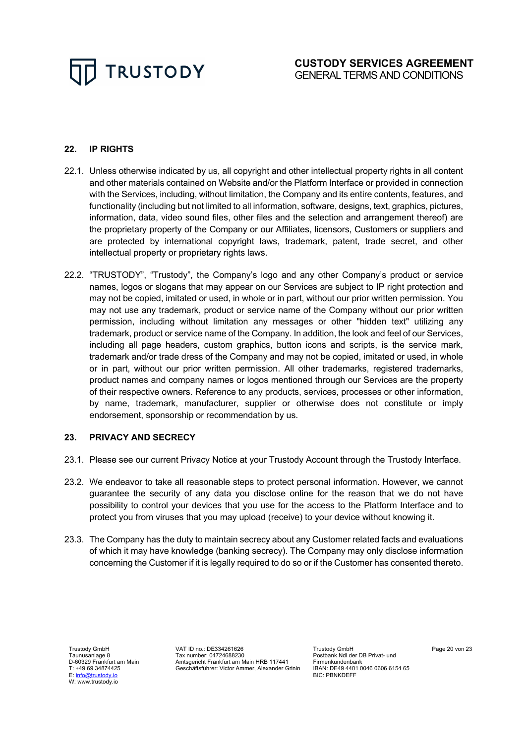# **22. IP RIGHTS**

- 22.1. Unless otherwise indicated by us, all copyright and other intellectual property rights in all content and other materials contained on Website and/or the Platform Interface or provided in connection with the Services, including, without limitation, the Company and its entire contents, features, and functionality (including but not limited to all information, software, designs, text, graphics, pictures, information, data, video sound files, other files and the selection and arrangement thereof) are the proprietary property of the Company or our Affiliates, licensors, Customers or suppliers and are protected by international copyright laws, trademark, patent, trade secret, and other intellectual property or proprietary rights laws.
- 22.2. "TRUSTODY", "Trustody", the Company's logo and any other Company's product or service names, logos or slogans that may appear on our Services are subject to IP right protection and may not be copied, imitated or used, in whole or in part, without our prior written permission. You may not use any trademark, product or service name of the Company without our prior written permission, including without limitation any messages or other "hidden text" utilizing any trademark, product or service name of the Company. In addition, the look and feel of our Services, including all page headers, custom graphics, button icons and scripts, is the service mark, trademark and/or trade dress of the Company and may not be copied, imitated or used, in whole or in part, without our prior written permission. All other trademarks, registered trademarks, product names and company names or logos mentioned through our Services are the property of their respective owners. Reference to any products, services, processes or other information, by name, trademark, manufacturer, supplier or otherwise does not constitute or imply endorsement, sponsorship or recommendation by us.

# **23. PRIVACY AND SECRECY**

- 23.1. Please see our current Privacy Notice at your Trustody Account through the Trustody Interface.
- 23.2. We endeavor to take all reasonable steps to protect personal information. However, we cannot guarantee the security of any data you disclose online for the reason that we do not have possibility to control your devices that you use for the access to the Platform Interface and to protect you from viruses that you may upload (receive) to your device without knowing it.
- 23.3. The Company has the duty to maintain secrecy about any Customer related facts and evaluations of which it may have knowledge (banking secrecy). The Company may only disclose information concerning the Customer if it is legally required to do so or if the Customer has consented thereto.

Trustody GmbH Taunusanlage 8 D-60329 Frankfurt am Main T: +49 69 34874425 E: info@trustody.io W: www.trustody.io

VAT ID no.: DE334261626 Tax number: 04724688230 Amtsgericht Frankfurt am Main HRB 117441 Geschäftsführer: Victor Ammer, Alexander Grinin

Trustody GmbH Postbank Ndl der DB Privat- und Firmenkundenbank IBAN: DE49 4401 0046 0606 6154 65 BIC: PBNKDEFF

Page 20 von 23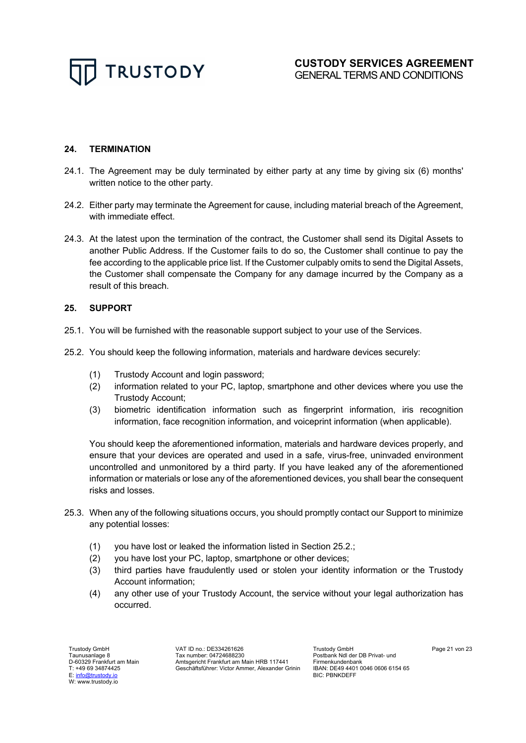# **24. TERMINATION**

- 24.1. The Agreement may be duly terminated by either party at any time by giving six (6) months' written notice to the other party.
- 24.2. Either party may terminate the Agreement for cause, including material breach of the Agreement, with immediate effect.
- 24.3. At the latest upon the termination of the contract, the Customer shall send its Digital Assets to another Public Address. If the Customer fails to do so, the Customer shall continue to pay the fee according to the applicable price list. If the Customer culpably omits to send the Digital Assets, the Customer shall compensate the Company for any damage incurred by the Company as a result of this breach.

# **25. SUPPORT**

- 25.1. You will be furnished with the reasonable support subject to your use of the Services.
- 25.2. You should keep the following information, materials and hardware devices securely:
	- (1) Trustody Account and login password;
	- (2) information related to your PC, laptop, smartphone and other devices where you use the Trustody Account;
	- (3) biometric identification information such as fingerprint information, iris recognition information, face recognition information, and voiceprint information (when applicable).

You should keep the aforementioned information, materials and hardware devices properly, and ensure that your devices are operated and used in a safe, virus-free, uninvaded environment uncontrolled and unmonitored by a third party. If you have leaked any of the aforementioned information or materials or lose any of the aforementioned devices, you shall bear the consequent risks and losses.

- 25.3. When any of the following situations occurs, you should promptly contact our Support to minimize any potential losses:
	- (1) you have lost or leaked the information listed in Section 25.2.;
	- (2) you have lost your PC, laptop, smartphone or other devices;
	- (3) third parties have fraudulently used or stolen your identity information or the Trustody Account information;
	- (4) any other use of your Trustody Account, the service without your legal authorization has occurred.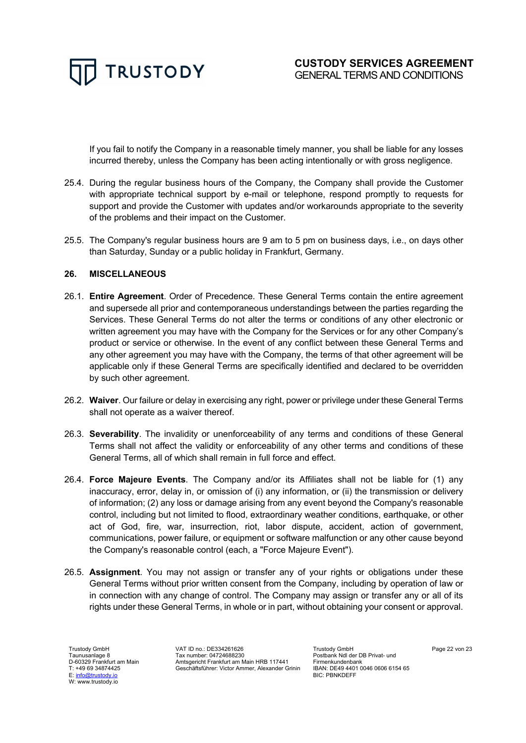

If you fail to notify the Company in a reasonable timely manner, you shall be liable for any losses incurred thereby, unless the Company has been acting intentionally or with gross negligence.

- 25.4. During the regular business hours of the Company, the Company shall provide the Customer with appropriate technical support by e-mail or telephone, respond promptly to requests for support and provide the Customer with updates and/or workarounds appropriate to the severity of the problems and their impact on the Customer.
- 25.5. The Company's regular business hours are 9 am to 5 pm on business days, i.e., on days other than Saturday, Sunday or a public holiday in Frankfurt, Germany.

#### **26. MISCELLANEOUS**

- 26.1. **Entire Agreement**. Order of Precedence. These General Terms contain the entire agreement and supersede all prior and contemporaneous understandings between the parties regarding the Services. These General Terms do not alter the terms or conditions of any other electronic or written agreement you may have with the Company for the Services or for any other Company's product or service or otherwise. In the event of any conflict between these General Terms and any other agreement you may have with the Company, the terms of that other agreement will be applicable only if these General Terms are specifically identified and declared to be overridden by such other agreement.
- 26.2. **Waiver**. Our failure or delay in exercising any right, power or privilege under these General Terms shall not operate as a waiver thereof.
- 26.3. **Severability**. The invalidity or unenforceability of any terms and conditions of these General Terms shall not affect the validity or enforceability of any other terms and conditions of these General Terms, all of which shall remain in full force and effect.
- 26.4. **Force Majeure Events**. The Company and/or its Affiliates shall not be liable for (1) any inaccuracy, error, delay in, or omission of (i) any information, or (ii) the transmission or delivery of information; (2) any loss or damage arising from any event beyond the Company's reasonable control, including but not limited to flood, extraordinary weather conditions, earthquake, or other act of God, fire, war, insurrection, riot, labor dispute, accident, action of government, communications, power failure, or equipment or software malfunction or any other cause beyond the Company's reasonable control (each, a "Force Majeure Event").
- 26.5. **Assignment**. You may not assign or transfer any of your rights or obligations under these General Terms without prior written consent from the Company, including by operation of law or in connection with any change of control. The Company may assign or transfer any or all of its rights under these General Terms, in whole or in part, without obtaining your consent or approval.

Trustody GmbH Taunusanlage 8 D-60329 Frankfurt am Main T: +49 69 34874425 E: info@trustody.io W: www.trustody.io

VAT ID no.: DE334261626 Tax number: 04724688230 Amtsgericht Frankfurt am Main HRB 117441 Geschäftsführer: Victor Ammer, Alexander Grinin Trustody GmbH Postbank Ndl der DB Privat- und Firmenkundenbank IBAN: DE49 4401 0046 0606 6154 65 BIC: PBNKDEFF

Page 22 von 23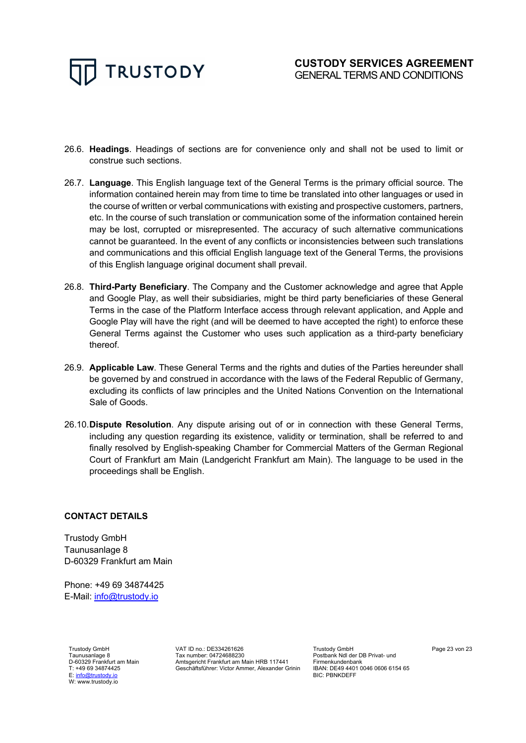- 26.6. **Headings**. Headings of sections are for convenience only and shall not be used to limit or construe such sections.
- 26.7. **Language**. This English language text of the General Terms is the primary official source. The information contained herein may from time to time be translated into other languages or used in the course of written or verbal communications with existing and prospective customers, partners, etc. In the course of such translation or communication some of the information contained herein may be lost, corrupted or misrepresented. The accuracy of such alternative communications cannot be guaranteed. In the event of any conflicts or inconsistencies between such translations and communications and this official English language text of the General Terms, the provisions of this English language original document shall prevail.
- 26.8. **Third-Party Beneficiary**. The Company and the Customer acknowledge and agree that Apple and Google Play, as well their subsidiaries, might be third party beneficiaries of these General Terms in the case of the Platform Interface access through relevant application, and Apple and Google Play will have the right (and will be deemed to have accepted the right) to enforce these General Terms against the Customer who uses such application as a third-party beneficiary thereof.
- 26.9. **Applicable Law**. These General Terms and the rights and duties of the Parties hereunder shall be governed by and construed in accordance with the laws of the Federal Republic of Germany, excluding its conflicts of law principles and the United Nations Convention on the International Sale of Goods.
- 26.10.**Dispute Resolution**. Any dispute arising out of or in connection with these General Terms, including any question regarding its existence, validity or termination, shall be referred to and finally resolved by English-speaking Chamber for Commercial Matters of the German Regional Court of Frankfurt am Main (Landgericht Frankfurt am Main). The language to be used in the proceedings shall be English.

# **CONTACT DETAILS**

Trustody GmbH Taunusanlage 8 D-60329 Frankfurt am Main

Phone: +49 69 34874425 E-Mail: info@trustody.io

Trustody GmbH Taunusanlage 8 D-60329 Frankfurt am Main T: +49 69 34874425 E: info@trustody.io W: www.trustody.io

VAT ID no.: DE334261626 Tax number: 04724688230 Amtsgericht Frankfurt am Main HRB 117441 Geschäftsführer: Victor Ammer, Alexander Grinin

Trustody GmbH Postbank Ndl der DB Privat- und Firmenkundenbank IBAN: DE49 4401 0046 0606 6154 65 BIC: PBNKDEFF

Page 23 von 23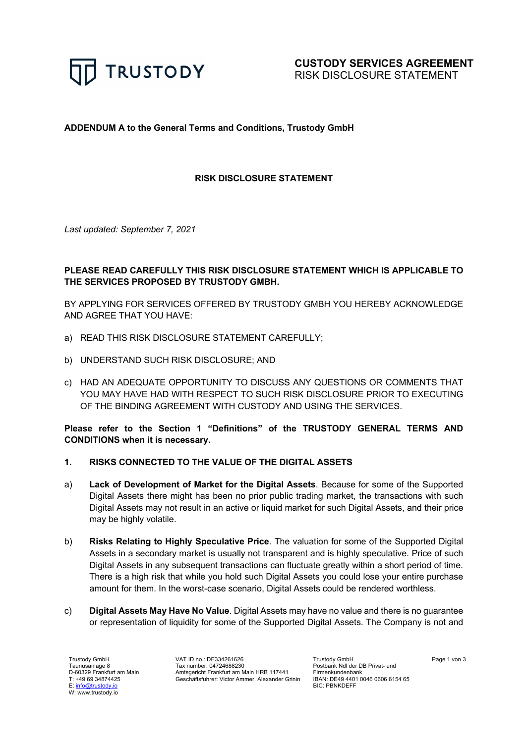

# **ADDENDUM A to the General Terms and Conditions, Trustody GmbH**

# **RISK DISCLOSURE STATEMENT**

*Last updated: September 7, 2021*

# **PLEASE READ CAREFULLY THIS RISK DISCLOSURE STATEMENT WHICH IS APPLICABLE TO THE SERVICES PROPOSED BY TRUSTODY GMBH.**

BY APPLYING FOR SERVICES OFFERED BY TRUSTODY GMBH YOU HEREBY ACKNOWLEDGE AND AGREE THAT YOU HAVE:

- a) READ THIS RISK DISCLOSURE STATEMENT CAREFULLY;
- b) UNDERSTAND SUCH RISK DISCLOSURE; AND
- c) HAD AN ADEQUATE OPPORTUNITY TO DISCUSS ANY QUESTIONS OR COMMENTS THAT YOU MAY HAVE HAD WITH RESPECT TO SUCH RISK DISCLOSURE PRIOR TO EXECUTING OF THE BINDING AGREEMENT WITH CUSTODY AND USING THE SERVICES.

**Please refer to the Section 1 "Definitions" of the TRUSTODY GENERAL TERMS AND CONDITIONS when it is necessary.**

# **1. RISKS CONNECTED TO THE VALUE OF THE DIGITAL ASSETS**

- a) **Lack of Development of Market for the Digital Assets**. Because for some of the Supported Digital Assets there might has been no prior public trading market, the transactions with such Digital Assets may not result in an active or liquid market for such Digital Assets, and their price may be highly volatile.
- b) **Risks Relating to Highly Speculative Price**. The valuation for some of the Supported Digital Assets in a secondary market is usually not transparent and is highly speculative. Price of such Digital Assets in any subsequent transactions can fluctuate greatly within a short period of time. There is a high risk that while you hold such Digital Assets you could lose your entire purchase amount for them. In the worst-case scenario, Digital Assets could be rendered worthless.
- c) **Digital Assets May Have No Value**. Digital Assets may have no value and there is no guarantee or representation of liquidity for some of the Supported Digital Assets. The Company is not and

Trustody GmbH Taunusanlage 8 D-60329 Frankfurt am Main T: +49 69 34874425 E: info@trustody W: www.trustody.io

VAT ID no.: DE334261626 Tax number: 04724688230 Amtsgericht Frankfurt am Main HRB 117441 Geschäftsführer: Victor Ammer, Alexander Grinin Trustody GmbH Postbank Ndl der DB Privat- und Firmenkundenbank IBAN: DE49 4401 0046 0606 6154 65 BIC: PBNKDEFF

Page 1 von 3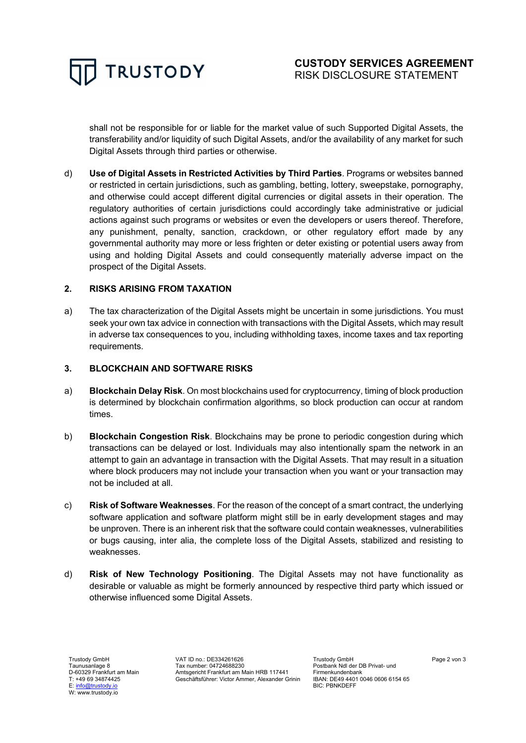

shall not be responsible for or liable for the market value of such Supported Digital Assets, the transferability and/or liquidity of such Digital Assets, and/or the availability of any market for such Digital Assets through third parties or otherwise.

d) **Use of Digital Assets in Restricted Activities by Third Parties**. Programs or websites banned or restricted in certain jurisdictions, such as gambling, betting, lottery, sweepstake, pornography, and otherwise could accept different digital currencies or digital assets in their operation. The regulatory authorities of certain jurisdictions could accordingly take administrative or judicial actions against such programs or websites or even the developers or users thereof. Therefore, any punishment, penalty, sanction, crackdown, or other regulatory effort made by any governmental authority may more or less frighten or deter existing or potential users away from using and holding Digital Assets and could consequently materially adverse impact on the prospect of the Digital Assets.

# **2. RISKS ARISING FROM TAXATION**

a) The tax characterization of the Digital Assets might be uncertain in some jurisdictions. You must seek your own tax advice in connection with transactions with the Digital Assets, which may result in adverse tax consequences to you, including withholding taxes, income taxes and tax reporting requirements.

#### **3. BLOCKCHAIN AND SOFTWARE RISKS**

- a) **Blockchain Delay Risk**. On most blockchains used for cryptocurrency, timing of block production is determined by blockchain confirmation algorithms, so block production can occur at random times.
- b) **Blockchain Congestion Risk**. Blockchains may be prone to periodic congestion during which transactions can be delayed or lost. Individuals may also intentionally spam the network in an attempt to gain an advantage in transaction with the Digital Assets. That may result in a situation where block producers may not include your transaction when you want or your transaction may not be included at all.
- c) **Risk of Software Weaknesses**. For the reason of the concept of a smart contract, the underlying software application and software platform might still be in early development stages and may be unproven. There is an inherent risk that the software could contain weaknesses, vulnerabilities or bugs causing, inter alia, the complete loss of the Digital Assets, stabilized and resisting to weaknesses.
- d) **Risk of New Technology Positioning**. The Digital Assets may not have functionality as desirable or valuable as might be formerly announced by respective third party which issued or otherwise influenced some Digital Assets.